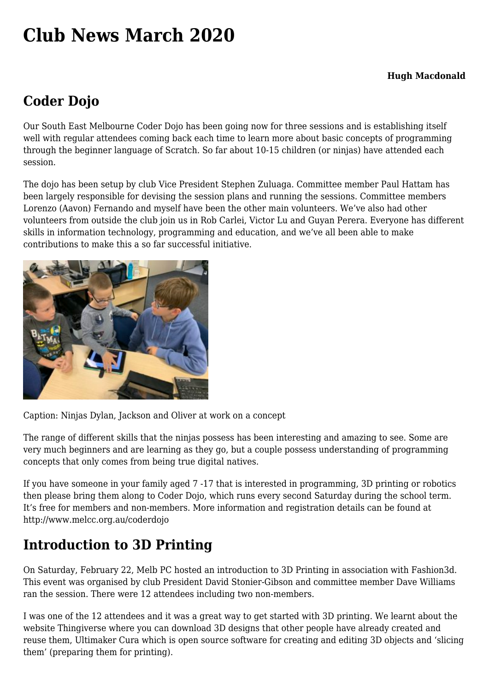# **[Club News March 2020](https://www.melbpc.org.au/club-news-march-2020/)**

#### **Hugh Macdonald**

### **Coder Dojo**

Our South East Melbourne Coder Dojo has been going now for three sessions and is establishing itself well with regular attendees coming back each time to learn more about basic concepts of programming through the beginner language of Scratch. So far about 10-15 children (or ninjas) have attended each session.

The dojo has been setup by club Vice President Stephen Zuluaga. Committee member Paul Hattam has been largely responsible for devising the session plans and running the sessions. Committee members Lorenzo (Aavon) Fernando and myself have been the other main volunteers. We've also had other volunteers from outside the club join us in Rob Carlei, Victor Lu and Guyan Perera. Everyone has different skills in information technology, programming and education, and we've all been able to make contributions to make this a so far successful initiative.



Caption: Ninjas Dylan, Jackson and Oliver at work on a concept

The range of different skills that the ninjas possess has been interesting and amazing to see. Some are very much beginners and are learning as they go, but a couple possess understanding of programming concepts that only comes from being true digital natives.

If you have someone in your family aged 7 -17 that is interested in programming, 3D printing or robotics then please bring them along to Coder Dojo, which runs every second Saturday during the school term. It's free for members and non-members. More information and registration details can be found at <http://www.melcc.org.au/coderdojo>

# **Introduction to 3D Printing**

On Saturday, February 22, Melb PC hosted an introduction to 3D Printing in association with [Fashion3d](http://fasion3d.com.au). This event was organised by club President David Stonier-Gibson and committee member Dave Williams ran the session. There were 12 attendees including two non-members.

I was one of the 12 attendees and it was a great way to get started with 3D printing. We learnt about the website [Thingiverse](http://thingiverse.com) where you can download 3D designs that other people have already created and reuse them, [Ultimaker Cura](https://ultimaker.com/software/ultimaker-cura) which is open source software for creating and editing 3D objects and 'slicing them' (preparing them for printing).